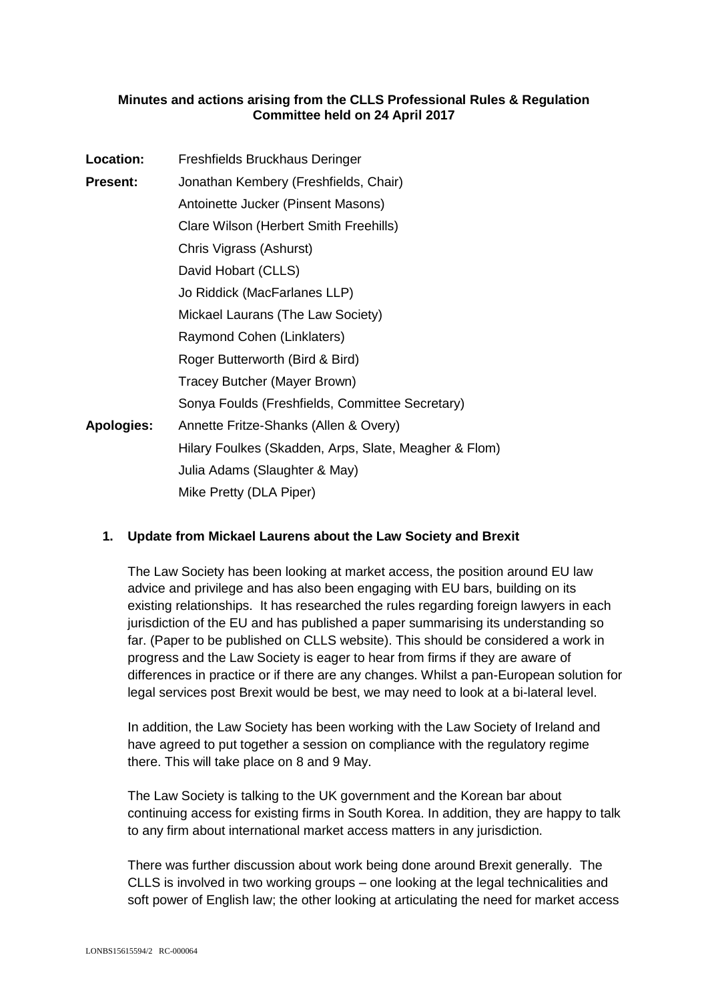### **Minutes and actions arising from the CLLS Professional Rules & Regulation Committee held on 24 April 2017**

| <b>Location:</b>  | Freshfields Bruckhaus Deringer                        |
|-------------------|-------------------------------------------------------|
| Present:          | Jonathan Kembery (Freshfields, Chair)                 |
|                   | Antoinette Jucker (Pinsent Masons)                    |
|                   | Clare Wilson (Herbert Smith Freehills)                |
|                   | Chris Vigrass (Ashurst)                               |
|                   | David Hobart (CLLS)                                   |
|                   | Jo Riddick (MacFarlanes LLP)                          |
|                   | Mickael Laurans (The Law Society)                     |
|                   | Raymond Cohen (Linklaters)                            |
|                   | Roger Butterworth (Bird & Bird)                       |
|                   | Tracey Butcher (Mayer Brown)                          |
|                   | Sonya Foulds (Freshfields, Committee Secretary)       |
| <b>Apologies:</b> | Annette Fritze-Shanks (Allen & Overy)                 |
|                   | Hilary Foulkes (Skadden, Arps, Slate, Meagher & Flom) |
|                   | Julia Adams (Slaughter & May)                         |
|                   | Mike Pretty (DLA Piper)                               |

## **1. Update from Mickael Laurens about the Law Society and Brexit**

The Law Society has been looking at market access, the position around EU law advice and privilege and has also been engaging with EU bars, building on its existing relationships. It has researched the rules regarding foreign lawyers in each jurisdiction of the EU and has published a paper summarising its understanding so far. (Paper to be published on CLLS website). This should be considered a work in progress and the Law Society is eager to hear from firms if they are aware of differences in practice or if there are any changes. Whilst a pan-European solution for legal services post Brexit would be best, we may need to look at a bi-lateral level.

In addition, the Law Society has been working with the Law Society of Ireland and have agreed to put together a session on compliance with the regulatory regime there. This will take place on 8 and 9 May.

The Law Society is talking to the UK government and the Korean bar about continuing access for existing firms in South Korea. In addition, they are happy to talk to any firm about international market access matters in any jurisdiction.

There was further discussion about work being done around Brexit generally. The CLLS is involved in two working groups – one looking at the legal technicalities and soft power of English law; the other looking at articulating the need for market access